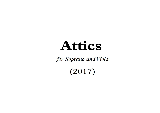# **Attics**

for Soprano and Viola

 $(2017)$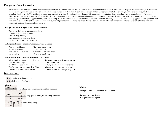# **Program Notes for Attics**

*Attics* is composed for soprano Juliet Fraser and Maxime Desert of Quatour Tana for the 2017 edition of the Académie Voix Nouvelles. The work investigates the inner workings of a confused mind in solitude, with an equally dilapidated stream of consciousness to follow. Juliet's part is made of up both text and gestures, the latter signifying a search of some kind, an attempt to mind in solitude, with an equa formulate the right words. The text features poems and prose style writings by various literary figures. It is sometimes sung, at other times recited or whispered, or shouted in frustration. With approvance to the state of With congruency to the state of mind of the speaker, the text is fragmented, with various sections being treated interchangeably. Edgar Allen Poe's *the Bells*, Hermann Hesse's *Die Lorelei* are the most significant works to appear in this piece, and in many ways, the endeavors of the speaker/singer could be said to be revolving around two. What initially appears to be stagnant texture soon turns into one that is drifted away, and torn apart by violent perturbations. At many instances, the viola behaves like an extension of the voice, enhancing its color; the two form one solor; the two form one instrument, cruising through a solemn journey.

#### **Fragments from EdgarAllen Poe's The Bells**

Desperate desire and a resolute endeavor Leaping, higher, higher, higher The ear fully knows, How the danger ebbs and flows On the bosom of the palpitating air

#### **A fragment from Federico García Lorca's Colores**

| But the white moon,      |
|--------------------------|
| The true moon,           |
| Only shines on soundless |
| Graves in small towns    |
|                          |

#### **A fragment from Hermann Hesse's Die Lorelei**

| Ich weiß nicht, was soll es bedeuten, | I do not know what it should mean,     |
|---------------------------------------|----------------------------------------|
| Daß ich so traurig bin,               | That I am so sad                       |
| Ein Märchen aus uralten Zeiten,       | A fairy tale from primordial times     |
| Das kommt mir nicht aus dem Sinne     | Comes to me not from my senses         |
| Die luft ist kühl und es dunkelt      | The air is cold and it is getting dark |
|                                       |                                        |

### **Instructions**

quarter tone higher/lower  $\mathbf{d}$ 

dan - ger

sixth tone higher/lower

#### **Voice**

speaking voice, murmuring, not too dramatic

airy sprechtimme, murmuring, childlike

quiet whispering

#### **Viola**

Strings IV and II of the viola are detuned:

IV a quarter tone lower II a quarter tone higher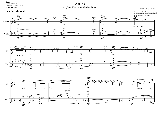Text: Edgar Allen Poe Federico García Lorca Hermann Hesse

# **Attics**<br>
Super and Maxime Desert **Attices**<br>
Hakki Cengiz Eren *for Juliet Fraser and Maxime Desert*

## $\sqrt{ } = 64,$  ethereal





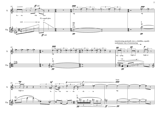

transitioning gradually into a childlike, equally undramatic way of murmuring



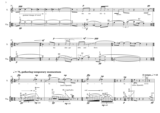





3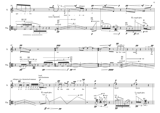



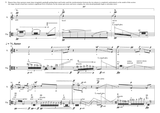Repeat these three gestures many times irregularly, gradually getting faster and louder until the synchronization between the two players is completely undermined, at the zenith of this section 5the singer should sound have reached a significant level of hysteria. As the texture gets more and more complex, the viola should gradually begin to articulate more.







**20''**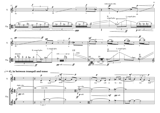



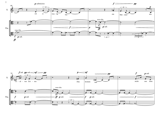